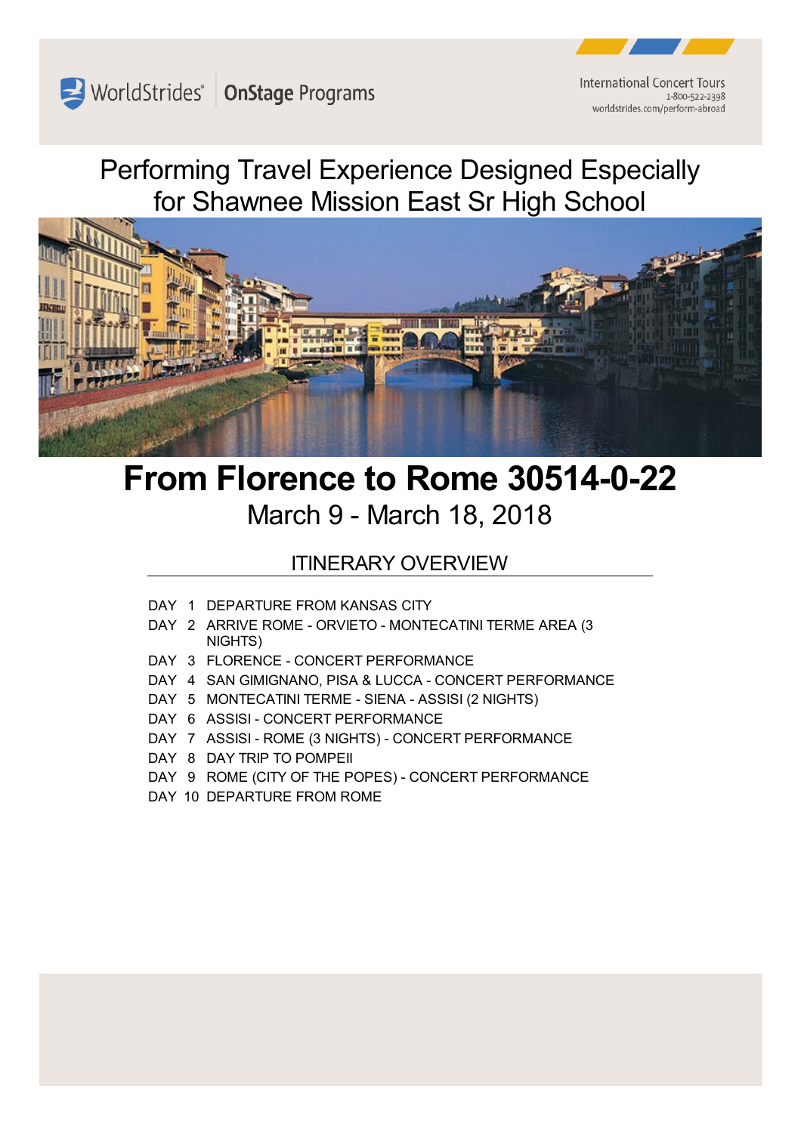WorldStrides' OnStage Programs

**International Concert Tours** 1-800-522-2398 worldstrides.com/perform-abroad

Performing Travel Experience Designed Especially for Shawnee Mission East Sr High School



# **From Florence to Rome 30514-0-22** March 9 - March 18, 2018

# ITINERARY OVERVIEW

- DAY 1 DEPARTURE FROM KANSAS CITY
- DAY 2 ARRIVE ROME ORVIETO MONTECATINI TERME AREA (3 NIGHTS)
- DAY 3 FLORENCE CONCERT PERFORMANCE
- DAY 4 SAN GIMIGNANO, PISA & LUCCA CONCERT PERFORMANCE
- DAY 5 MONTECATINI TERME SIENA ASSISI (2 NIGHTS)
- DAY 6 ASSISI CONCERT PERFORMANCE
- DAY 7 ASSISI ROME (3 NIGHTS) CONCERT PERFORMANCE
- DAY 8 DAY TRIP TO POMPEII
- DAY 9 ROME (CITY OF THE POPES) CONCERT PERFORMANCE
- DAY 10 DEPARTURE FROM ROME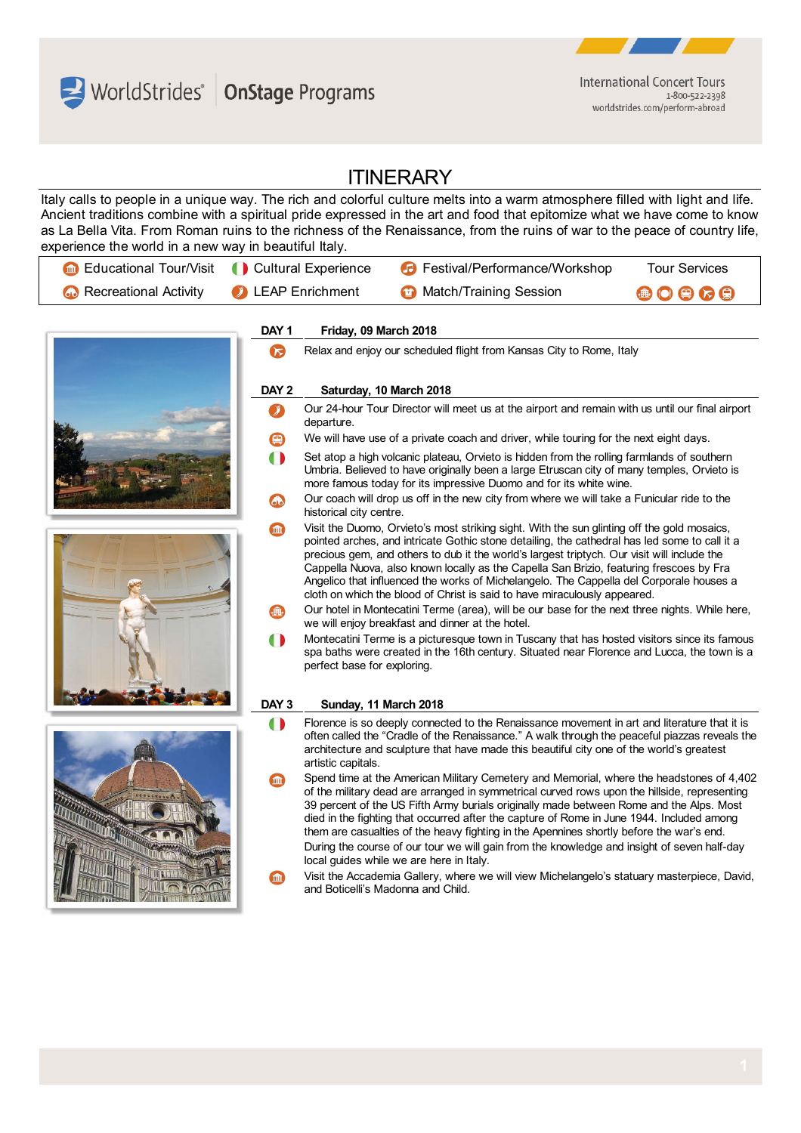WorldStrides OnStage Programs



worldstrides.com/perform-abroad

# **ITINERARY**

Italy calls to people in a unique way. The rich and colorful culture melts into a warm atmosphere filled with light and life. Ancient traditions combine with a spiritual pride expressed in the art and food that epitomize what we have come to know as La Bella Vita. From Roman ruins to the richness of the Renaissance, from the ruins of war to the peace of country life, experience the world in a new way in beautiful Italy.

| <b>Cultural Experience Cultural Experience</b> |                          | <b>C</b> Festival/Performance/Workshop | <b>Tour Services</b>                                               |
|------------------------------------------------|--------------------------|----------------------------------------|--------------------------------------------------------------------|
| <b>63</b> Recreational Activity                | <b>C</b> LEAP Enrichment | <b>12</b> Match/Training Session       | $\begin{array}{c} \bullet \circ \bullet \circ \bullet \end{array}$ |

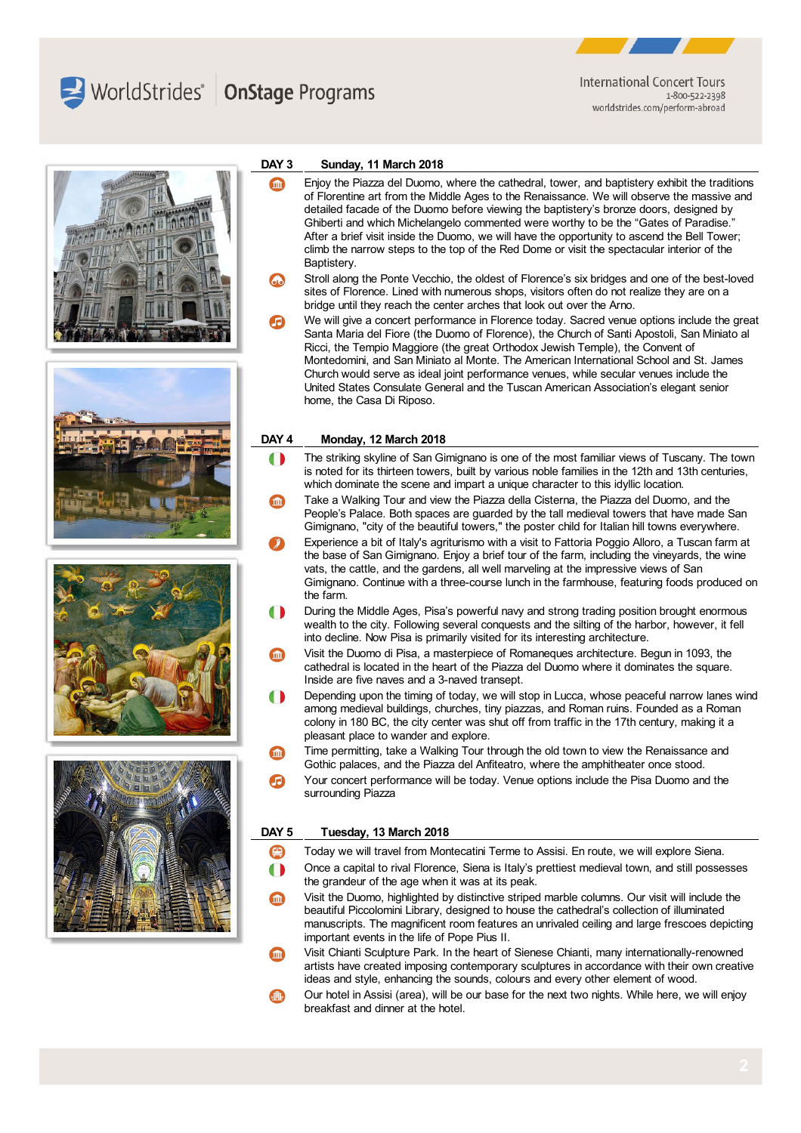



**International Concert Tours** 1-800-522-2398 worldstrides.com/perform-abroad







#### **DAY 3 Sunday, 11 March 2018**

- Enjoy the Piazza del Duomo, where the cathedral, tower, and baptistery exhibit the traditions **Simple** of Florentine art from the Middle Ages to the Renaissance. We will observe the massive and detailed facade of the Duomo before viewing the baptistery's bronze doors, designed by Ghiberti and which Michelangelo commented were worthy to be the "Gates of Paradise." After a brief visit inside the Duomo, we will have the opportunity to ascend the Bell Tower; climb the narrow steps to the top of the Red Dome or visit the spectacular interior of the Baptistery.
- Stroll along the Ponte Vecchio, the oldest of Florence's six bridges and one of the best-loved sites of Florence. Lined with numerous shops, visitors often do not realize they are on a bridge until they reach the center arches that look out over the Arno.
- We will give a concert performance in Florence today. Sacred venue options include the great Santa Maria del Fiore (the Duomo of Florence), the Church of Santi Apostoli, San Miniato al Ricci, the Tempio Maggiore (the great Orthodox Jewish Temple), the Convent of Montedomini, and San Miniato al Monte. The American International School and St. James Church would serve as ideal joint performance venues, while secular venues include the United States Consulate General and the Tuscan American Association's elegant senior home, the Casa Di Riposo.

#### **DAY 4 Monday, 12 March 2018**

- The striking skyline of San Gimignano is one of the most familiar views of Tuscany. The town  $\blacksquare$ is noted for its thirteen towers, built by various noble families in the 12th and 13th centuries, which dominate the scene and impart a unique character to this idyllic location.
- Take a Walking Tour and view the Piazza della Cisterna, the Piazza del Duomo, and the People's Palace. Both spaces are guarded by the tall medieval towers that have made San Gimignano, "city of the beautiful towers," the poster child for Italian hill towns everywhere.
- Experience a bit of Italy's agriturismo with a visit to Fattoria Poggio Alloro, a Tuscan farm at the base of San Gimignano. Enjoy a brief tour of the farm, including the vineyards, the wine vats, the cattle, and the gardens, all well marveling at the impressive views of San Gimignano. Continue with a three-course lunch in the farmhouse, featuring foods produced on the farm.
- During the Middle Ages, Pisa's powerful navy and strong trading position brought enormous wealth to the city. Following several conquests and the silting of the harbor, however, it fell into decline. Now Pisa is primarily visited for its interesting architecture.
- Visit the Duomo di Pisa, a masterpiece of Romaneques architecture. Begun in 1093, the **m** cathedral is located in the heart of the Piazza del Duomo where it dominates the square. Inside are five naves and a 3-naved transept.
- $\bullet$ Depending upon the timing of today, we will stop in Lucca, whose peaceful narrow lanes wind among medieval buildings, churches, tiny piazzas, and Roman ruins. Founded as a Roman colony in 180 BC, the city center was shut off from traffic in the 17th century, making it a pleasant place to wander and explore.
- Time permitting, take a Walking Tour through the old town to view the Renaissance and **m** Gothic palaces, and the Piazza del Anfiteatro, where the amphitheater once stood.
- Your concert performance will be today. Venue options include the Pisa Duomo and the surrounding Piazza

### **DAY 5 Tuesday, 13 March 2018**

- O Today we will travel from Montecatini Terme to Assisi. En route, we will explore Siena.
- Once a capital to rival Florence, Siena is Italy's prettiest medieval town, and still possesses  $\bullet$ the grandeur of the age when it was at its peak.
- Visit the Duomo, highlighted by distinctive striped marble columns. Our visit will include the beautiful Piccolomini Library, designed to house the cathedral's collection of illuminated manuscripts. The magnificent room features an unrivaled ceiling and large frescoes depicting important events in the life of Pope Pius II.
- Visit Chianti Sculpture Park. In the heart of Sienese Chianti, many internationally-renowned artists have created imposing contemporary sculptures in accordance with their own creative ideas and style, enhancing the sounds, colours and every other element of wood.
- Our hotel in Assisi (area), will be our base for the next two nights. While here, we will enjoy breakfast and dinner at the hotel.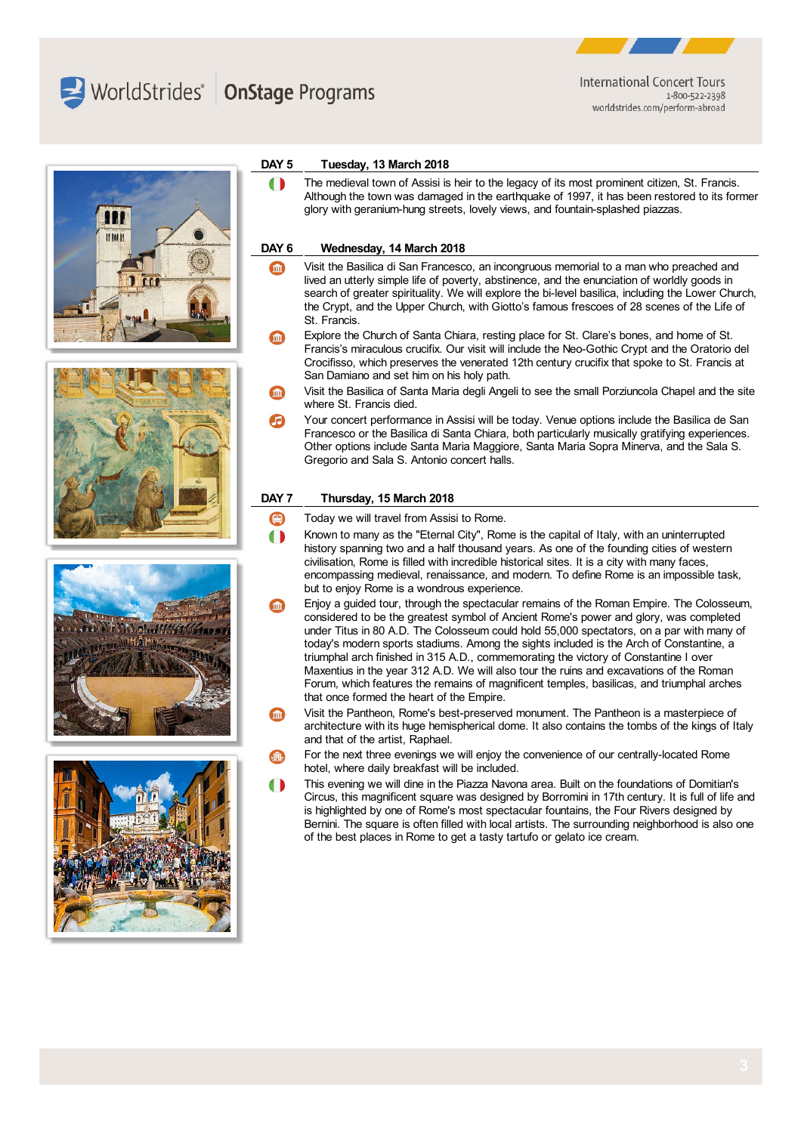WorldStrides | OnStage Programs



**International Concert Tours** 1-800-522-2398 worldstrides.com/perform-abroad









#### **DAY 5 Tuesday, 13 March 2018**

The medieval town of Assisi is heir to the legacy of its most prominent citizen, St. Francis.  $\blacksquare$ Although the town was damaged in the earthquake of 1997, it has been restored to its former glory with geranium-hung streets, lovely views, and fountain-splashed piazzas.

#### **DAY 6 Wednesday, 14 March 2018**

- Visit the Basilica di San Francesco, an incongruous memorial to a man who preached and lived an utterly simple life of poverty, abstinence, and the enunciation of worldly goods in search of greater spirituality. We will explore the bi-level basilica, including the Lower Church, the Crypt, and the Upper Church, with Giotto's famous frescoes of 28 scenes of the Life of St. Francis.
- Explore the Church of Santa Chiara, resting place for St. Clare's bones, and home of St. (m Francis's miraculous crucifix. Our visit will include the Neo-Gothic Crypt and the Oratorio del Crocifisso, which preserves the venerated 12th century crucifix that spoke to St. Francis at San Damiano and set him on his holy path.
- Visit the Basilica of Santa Maria degli Angeli to see the small Porziuncola Chapel and the site where St. Francis died.
- Your concert performance in Assisi will be today. Venue options include the Basilica de San Francesco or the Basilica di Santa Chiara, both particularly musically gratifying experiences. Other options include Santa Maria Maggiore, Santa Maria Sopra Minerva, and the Sala S. Gregorio and Sala S. Antonio concert halls.

#### **DAY 7 Thursday, 15 March 2018**

- Θ Today we will travel from Assisi to Rome.
- $\bullet$ Known to many as the "Eternal City", Rome is the capital of Italy, with an uninterrupted history spanning two and a half thousand years. As one of the founding cities of western civilisation, Rome is filled with incredible historical sites. It is a city with many faces, encompassing medieval, renaissance, and modern. To define Rome is an impossible task, but to enjoy Rome is a wondrous experience.
- Enjoy a guided tour, through the spectacular remains of the Roman Empire. The Colosseum, considered to be the greatest symbol of Ancient Rome's power and glory, was completed under Titus in 80 A.D. The Colosseum could hold 55,000 spectators, on a par with many of today's modern sports stadiums. Among the sights included is the Arch of Constantine, a triumphal arch finished in 315 A.D., commemorating the victory of Constantine I over Maxentius in the year 312 A.D. We will also tour the ruins and excavations of the Roman Forum, which features the remains of magnificent temples, basilicas, and triumphal arches that once formed the heart of the Empire.
- Visit the Pantheon, Rome's best-preserved monument. The Pantheon is a masterpiece of architecture with its huge hemispherical dome. It also contains the tombs of the kings of Italy and that of the artist, Raphael.
- For the next three evenings we will enjoy the convenience of our centrally-located Rome hotel, where daily breakfast will be included.
- This evening we will dine in the Piazza Navona area. Built on the foundations of Domitian's Circus, this magnificent square was designed by Borromini in 17th century. It is full of life and is highlighted by one of Rome's most spectacular fountains, the Four Rivers designed by Bernini. The square is often filled with local artists. The surrounding neighborhood is also one of the best places in Rome to get a tasty tartufo or gelato ice cream.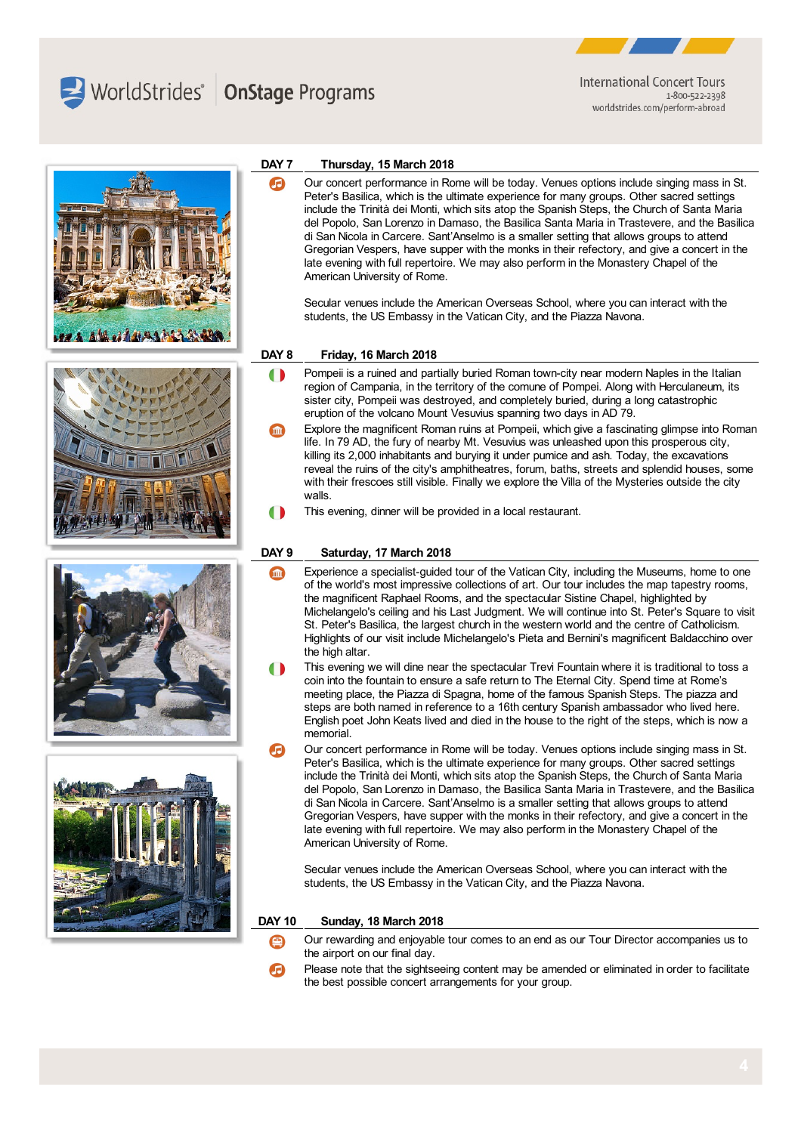

Æ



**International Concert Tours** 1-800-522-2398 worldstrides.com/perform-abroad



# **DAY 7 Thursday, 15 March 2018**

Our concert performance in Rome will be today. Venues options include singing mass in St. Peter's Basilica, which is the ultimate experience for many groups. Other sacred settings include the Trinità dei Monti, which sits atop the Spanish Steps, the Church of Santa Maria del Popolo, San Lorenzo in Damaso, the Basilica Santa Maria in Trastevere, and the Basilica di San Nicola in Carcere. Sant'Anselmo is a smaller setting that allows groups to attend Gregorian Vespers, have supper with the monks in their refectory, and give a concert in the late evening with full repertoire. We may also perform in the Monastery Chapel of the American University of Rome.

Secular venues include the American Overseas School, where you can interact with the students, the US Embassy in the Vatican City, and the Piazza Navona.

#### **DAY 8 Friday, 16 March 2018**

- Pompeii is a ruined and partially buried Roman town-city near modern Naples in the Italian  $\blacksquare$ region of Campania, in the territory of the comune of Pompei. Along with Herculaneum, its sister city, Pompeii was destroyed, and completely buried, during a long catastrophic eruption of the volcano Mount Vesuvius spanning two days in AD 79.
- Explore the magnificent Roman ruins at Pompeii, which give a fascinating glimpse into Roman life. In 79 AD, the fury of nearby Mt. Vesuvius was unleashed upon this prosperous city, killing its 2,000 inhabitants and burying it under pumice and ash. Today, the excavations reveal the ruins of the city's amphitheatres, forum, baths, streets and splendid houses, some with their frescoes still visible. Finally we explore the Villa of the Mysteries outside the city walls.
- This evening, dinner will be provided in a local restaurant.

### **DAY 9 Saturday, 17 March 2018**

- Experience a specialist-guided tour of the Vatican City, including the Museums, home to one m of the world's most impressive collections of art. Our tour includes the map tapestry rooms, the magnificent Raphael Rooms, and the spectacular Sistine Chapel, highlighted by Michelangelo's ceiling and his Last Judgment. We will continue into St. Peter's Square to visit St. Peter's Basilica, the largest church in the western world and the centre of Catholicism. Highlights of our visit include Michelangelo's Pieta and Bernini's magnificent Baldacchino over the high altar.
- This evening we will dine near the spectacular Trevi Fountain where it is traditional to toss a coin into the fountain to ensure a safe return to The Eternal City. Spend time at Rome's meeting place, the Piazza di Spagna, home of the famous Spanish Steps. The piazza and steps are both named in reference to a 16th century Spanish ambassador who lived here. English poet John Keats lived and died in the house to the right of the steps, which is now a memorial.
- Our concert performance in Rome will be today. Venues options include singing mass in St. Peter's Basilica, which is the ultimate experience for many groups. Other sacred settings include the Trinità dei Monti, which sits atop the Spanish Steps, the Church of Santa Maria del Popolo, San Lorenzo in Damaso, the Basilica Santa Maria in Trastevere, and the Basilica di San Nicola in Carcere. Sant'Anselmo is a smaller setting that allows groups to attend Gregorian Vespers, have supper with the monks in their refectory, and give a concert in the late evening with full repertoire. We may also perform in the Monastery Chapel of the American University of Rome.

Secular venues include the American Overseas School, where you can interact with the students, the US Embassy in the Vatican City, and the Piazza Navona.

#### **DAY 10 Sunday, 18 March 2018**

- Our rewarding and enjoyable tour comes to an end as our Tour Director accompanies us to the airport on our final day.
- Please note that the sightseeing content may be amended or eliminated in order to facilitate the best possible concert arrangements for your group.